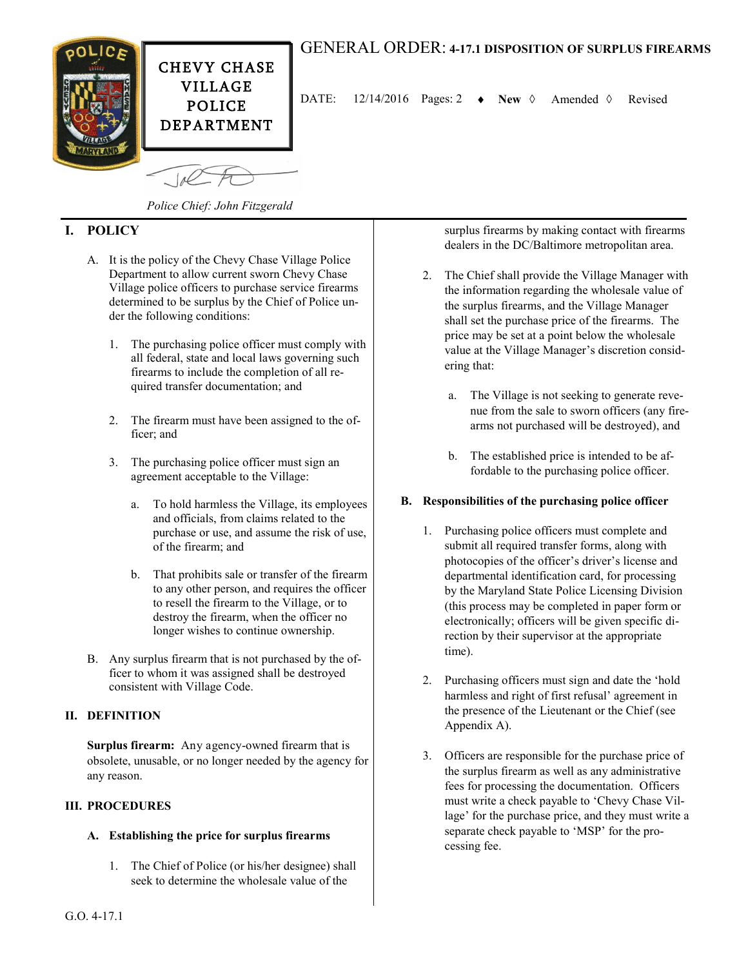

# GENERAL ORDER: **4-17.1 DISPOSITION OF SURPLUS FIREARMS**

DATE:  $12/14/2016$  Pages: 2  $\rightarrow$  New  $\Diamond$  Amended  $\Diamond$  Revised

*Police Chief: John Fitzgerald*

## **I. POLICY**

- A. It is the policy of the Chevy Chase Village Police Department to allow current sworn Chevy Chase Village police officers to purchase service firearms determined to be surplus by the Chief of Police under the following conditions:
	- 1. The purchasing police officer must comply with all federal, state and local laws governing such firearms to include the completion of all required transfer documentation; and
	- 2. The firearm must have been assigned to the officer; and
	- 3. The purchasing police officer must sign an agreement acceptable to the Village:
		- a. To hold harmless the Village, its employees and officials, from claims related to the purchase or use, and assume the risk of use, of the firearm; and
		- b. That prohibits sale or transfer of the firearm to any other person, and requires the officer to resell the firearm to the Village, or to destroy the firearm, when the officer no longer wishes to continue ownership.
- B. Any surplus firearm that is not purchased by the officer to whom it was assigned shall be destroyed consistent with Village Code.

## **II. DEFINITION**

**Surplus firearm:** Any agency-owned firearm that is obsolete, unusable, or no longer needed by the agency for any reason.

#### **III. PROCEDURES**

## **A. Establishing the price for surplus firearms**

1. The Chief of Police (or his/her designee) shall seek to determine the wholesale value of the

surplus firearms by making contact with firearms dealers in the DC/Baltimore metropolitan area.

- 2. The Chief shall provide the Village Manager with the information regarding the wholesale value of the surplus firearms, and the Village Manager shall set the purchase price of the firearms. The price may be set at a point below the wholesale value at the Village Manager's discretion considering that:
	- a. The Village is not seeking to generate revenue from the sale to sworn officers (any firearms not purchased will be destroyed), and
	- b. The established price is intended to be affordable to the purchasing police officer.

## **B. Responsibilities of the purchasing police officer**

- 1. Purchasing police officers must complete and submit all required transfer forms, along with photocopies of the officer's driver's license and departmental identification card, for processing by the Maryland State Police Licensing Division (this process may be completed in paper form or electronically; officers will be given specific direction by their supervisor at the appropriate time).
- 2. Purchasing officers must sign and date the 'hold harmless and right of first refusal' agreement in the presence of the Lieutenant or the Chief (see Appendix A).
- 3. Officers are responsible for the purchase price of the surplus firearm as well as any administrative fees for processing the documentation. Officers must write a check payable to 'Chevy Chase Village' for the purchase price, and they must write a separate check payable to 'MSP' for the processing fee.